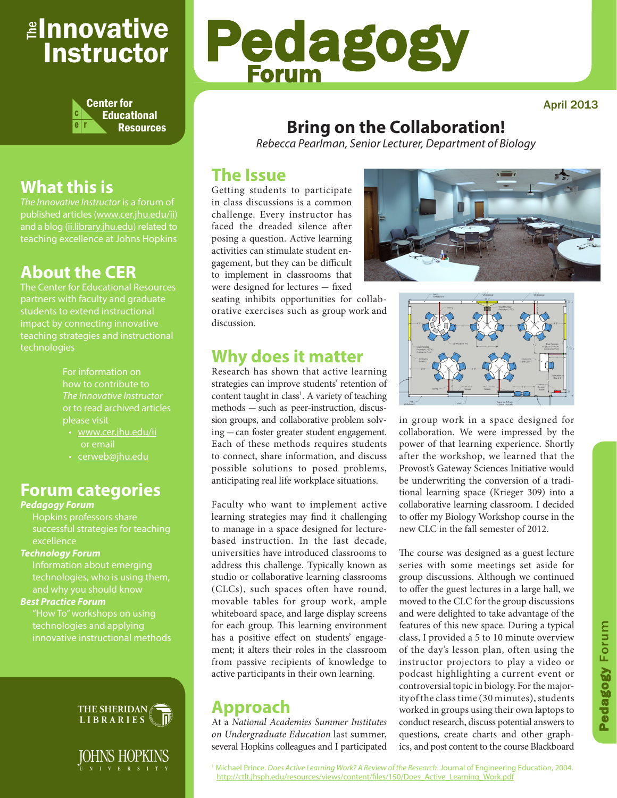## <sub>≝l</sub>nnovative Instructor



## **What this is**

*The Innovative Instructor* is a forum of published articles (www.cer.jhu.edu/ii) and a blog (ii.library.jhu.edu) related to teaching excellence at Johns Hopkins

## **About the CER**

The Center for Educational Resources students to extend instructional impact by connecting innovative teaching strategies and instructional technologies

> For information on how to contribute to *The Innovative Instructor* or to read archived articles please visit

- www.cer.jhu.edu/ii or email
- cerweb@jhu.edu

### **Forum categories**

#### *Pedagogy Forum*

Hopkins professors share successful strategies for teaching excellence

#### *Technology Forum*

Information about emerging technologies, who is using them,

#### *Best Practice Forum*

"How To" workshops on using technologies and applying innovative instructional methods





# Pedagogy Forum

April 2013

## **Bring on the Collaboration!**

*Rebecca Pearlman, Senior Lecturer, Department of Biology*

#### **The Issue**

Getting students to participate in class discussions is a common challenge. Every instructor has faced the dreaded silence after posing a question. Active learning activities can stimulate student engagement, but they can be difficult to implement in classrooms that were designed for lectures - fixed

seating inhibits opportunities for collaborative exercises such as group work and discussion.

#### **Why does it matter**

Research has shown that active learning strategies can improve students' retention of content taught in class<sup>1</sup>. A variety of teaching methods - such as peer-instruction, discussion groups, and collaborative problem solving - can foster greater student engagement. Each of these methods requires students to connect, share information, and discuss possible solutions to posed problems, anticipating real life workplace situations.

Faculty who want to implement active learning strategies may find it challenging to manage in a space designed for lecturebased instruction. In the last decade, universities have introduced classrooms to address this challenge. Typically known as studio or collaborative learning classrooms (CLCs), such spaces often have round, movable tables for group work, ample whiteboard space, and large display screens for each group. This learning environment has a positive effect on students' engagement; it alters their roles in the classroom from passive recipients of knowledge to active participants in their own learning.

### **Approach**

At a *National Academies Summer Institutes on Undergraduate Education* last summer, several Hopkins colleagues and I participated





in group work in a space designed for collaboration. We were impressed by the power of that learning experience. Shortly after the workshop, we learned that the Provost's Gateway Sciences Initiative would be underwriting the conversion of a traditional learning space (Krieger 309) into a collaborative learning classroom. I decided to offer my Biology Workshop course in the new CLC in the fall semester of 2012.

The course was designed as a guest lecture series with some meetings set aside for group discussions. Although we continued to offer the guest lectures in a large hall, we moved to the CLC for the group discussions and were delighted to take advantage of the features of this new space. During a typical class, I provided a 5 to 10 minute overview of the day's lesson plan, often using the instructor projectors to play a video or podcast highlighting a current event or controversial topic in biology. For the majority of the class time (30 minutes), students worked in groups using their own laptops to conduct research, discuss potential answers to questions, create charts and other graphics, and post content to the course Blackboard

1 Michael Prince. *Does Active Learning Work? A Review of the Research*. Journal of Engineering Education, 2004. http://ctlt.jhsph.edu/resources/views/content/files/150/Does\_Active\_Learning\_Work.pdf